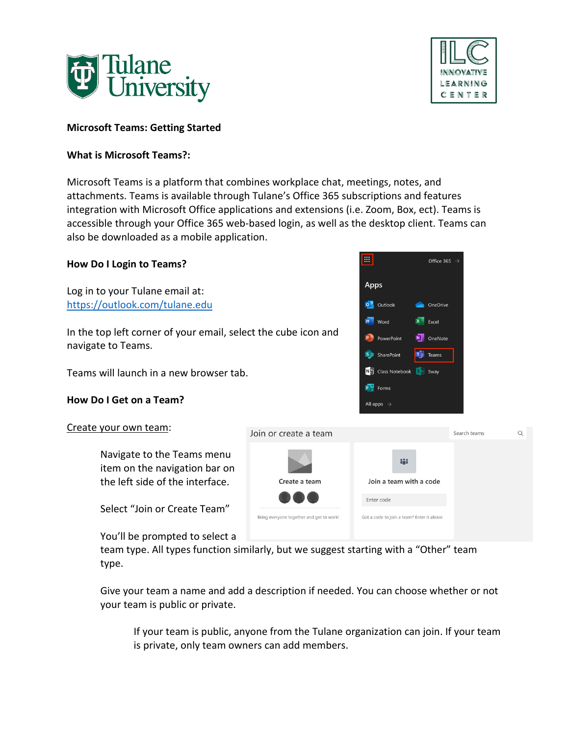



### **Microsoft Teams: Getting Started**

### **What is Microsoft Teams?:**

Microsoft Teams is a platform that combines workplace chat, meetings, notes, and attachments. Teams is available through Tulane's Office 365 subscriptions and features integration with Microsoft Office applications and extensions (i.e. Zoom, Box, ect). Teams is accessible through your Office 365 web-based login, as well as the desktop client. Teams can also be downloaded as a mobile application.

| <b>How Do I Login to Teams?</b>                                                                |                                          | E.<br>Office 365 $\rightarrow$                                               |              |   |
|------------------------------------------------------------------------------------------------|------------------------------------------|------------------------------------------------------------------------------|--------------|---|
| Log in to your Tulane email at:<br>https://outlook.com/tulane.edu                              |                                          | Apps<br>O Outlook<br><b>Co</b> OneDrive                                      |              |   |
| In the top left corner of your email, select the cube icon and<br>navigate to Teams.           |                                          | W<br>Excel<br>Word<br>N OneNote<br>PowerPoint<br>۵õ<br>S SharePoint<br>Teams |              |   |
| Teams will launch in a new browser tab.                                                        |                                          | N <sup>2</sup> Class Notebook<br><b>SA</b><br>Sway                           |              |   |
| How Do I Get on a Team?                                                                        |                                          | $F = $ Forms<br>All apps $\rightarrow$                                       |              |   |
| Create your own team:                                                                          | Join or create a team                    |                                                                              | Search teams | Q |
| Navigate to the Teams menu<br>item on the navigation bar on<br>the left side of the interface. | Create a team                            | th:<br>Join a team with a code                                               |              |   |
| Select "Join or Create Team"                                                                   | Bring everyone together and get to work! | Enter code<br>Got a code to join a team? Enter it above.                     |              |   |
| You'll be prompted to select a                                                                 |                                          |                                                                              |              |   |

team type. All types function similarly, but we suggest starting with a "Other" team type.

Give your team a name and add a description if needed. You can choose whether or not your team is public or private.

If your team is public, anyone from the Tulane organization can join. If your team is private, only team owners can add members.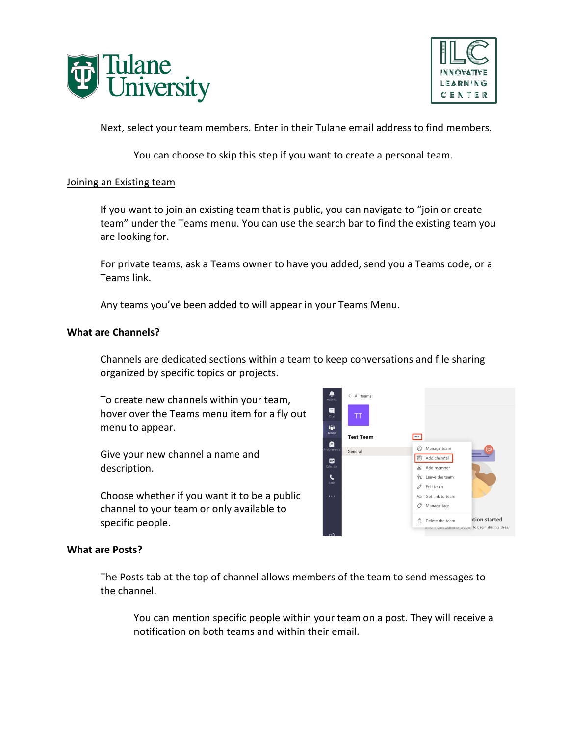



Next, select your team members. Enter in their Tulane email address to find members.

You can choose to skip this step if you want to create a personal team.

#### Joining an Existing team

If you want to join an existing team that is public, you can navigate to "join or create team" under the Teams menu. You can use the search bar to find the existing team you are looking for.

For private teams, ask a Teams owner to have you added, send you a Teams code, or a Teams link.

Any teams you've been added to will appear in your Teams Menu.

#### **What are Channels?**

Channels are dedicated sections within a team to keep conversations and file sharing organized by specific topics or projects.

To create new channels within your team, hover over the Teams menu item for a fly out menu to appear.

Give your new channel a name and description.

Choose whether if you want it to be a public channel to your team or only available to specific people.



### **What are Posts?**

The Posts tab at the top of channel allows members of the team to send messages to the channel.

You can mention specific people within your team on a post. They will receive a notification on both teams and within their email.